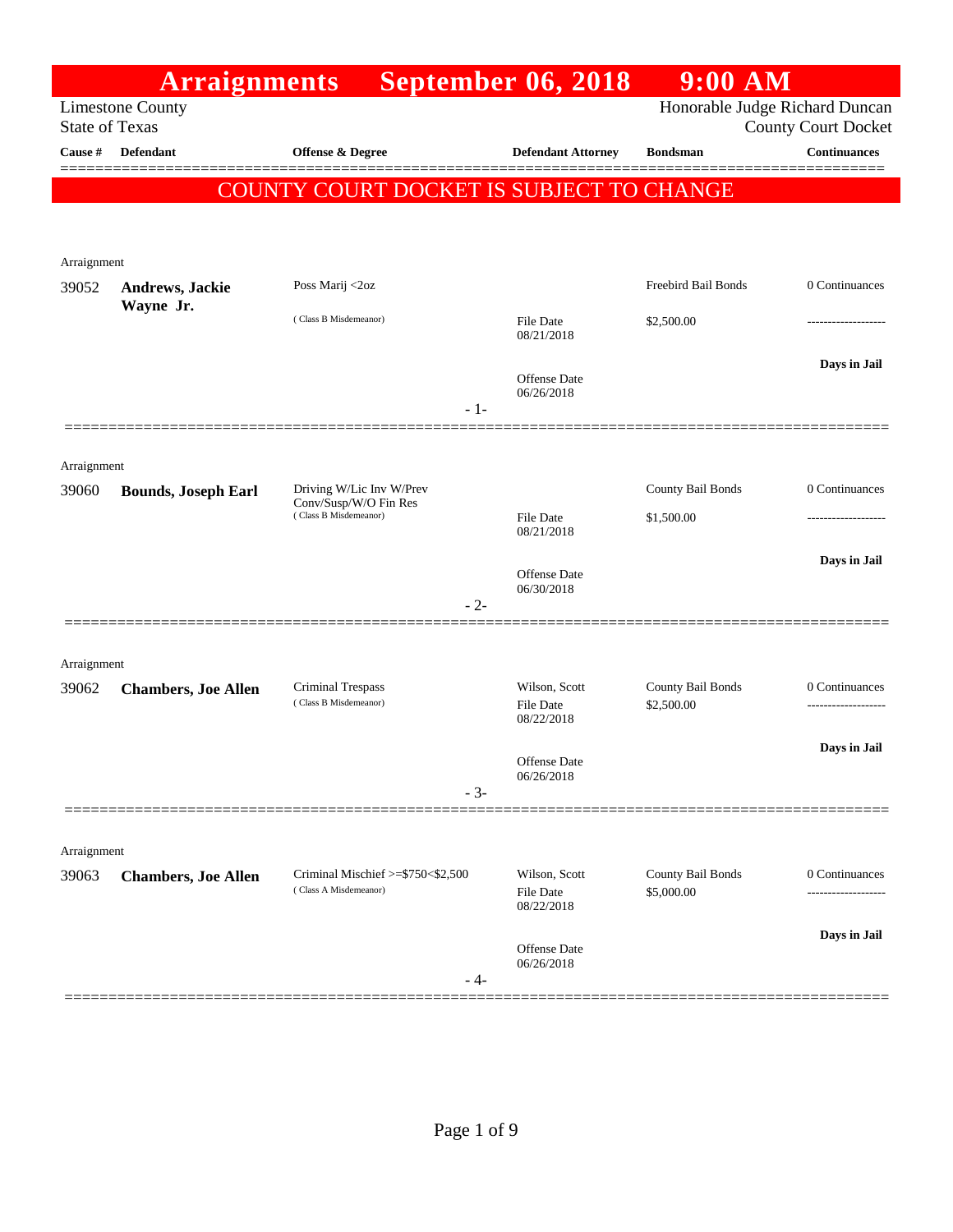|                       | <b>Arraignments</b>        |                                                | <b>September 06, 2018</b>         | $9:00$ AM                      |                            |
|-----------------------|----------------------------|------------------------------------------------|-----------------------------------|--------------------------------|----------------------------|
| <b>State of Texas</b> | <b>Limestone County</b>    |                                                |                                   | Honorable Judge Richard Duncan | <b>County Court Docket</b> |
| Cause #               | Defendant                  | <b>Offense &amp; Degree</b>                    | <b>Defendant Attorney</b>         | <b>Bondsman</b>                | Continuances               |
|                       |                            |                                                |                                   |                                |                            |
|                       |                            | COUNTY COURT DOCKET IS SUBJECT TO CHANGE       |                                   |                                |                            |
|                       |                            |                                                |                                   |                                |                            |
| Arraignment           |                            |                                                |                                   |                                |                            |
| 39052                 | <b>Andrews, Jackie</b>     | Poss Marij <2oz                                |                                   | Freebird Bail Bonds            | 0 Continuances             |
|                       | Wayne Jr.                  | (Class B Misdemeanor)                          | <b>File Date</b><br>08/21/2018    | \$2,500.00                     |                            |
|                       |                            | $-1-$                                          | <b>Offense Date</b><br>06/26/2018 |                                | Days in Jail               |
|                       |                            |                                                |                                   |                                |                            |
| Arraignment<br>39060  | <b>Bounds, Joseph Earl</b> | Driving W/Lic Inv W/Prev                       |                                   | County Bail Bonds              | 0 Continuances             |
|                       |                            | Conv/Susp/W/O Fin Res<br>(Class B Misdemeanor) | <b>File Date</b>                  | \$1,500.00                     |                            |
|                       |                            |                                                | 08/21/2018                        |                                |                            |
|                       |                            |                                                | Offense Date                      |                                | Days in Jail               |
|                       |                            | $-2-$                                          | 06/30/2018                        |                                |                            |
| Arraignment           |                            |                                                |                                   |                                |                            |
| 39062                 | <b>Chambers, Joe Allen</b> | <b>Criminal Trespass</b>                       | Wilson, Scott                     | County Bail Bonds              | 0 Continuances             |
|                       |                            | (Class B Misdemeanor)                          | <b>File Date</b><br>08/22/2018    | \$2,500.00                     |                            |
|                       |                            |                                                | Offense Date<br>06/26/2018        |                                | Days in Jail               |
|                       |                            | $-3-$                                          |                                   |                                |                            |
|                       |                            |                                                |                                   |                                |                            |
| Arraignment<br>39063  |                            | Criminal Mischief >=\$750<\$2,500              | Wilson, Scott                     | County Bail Bonds              | 0 Continuances             |
|                       | <b>Chambers, Joe Allen</b> | (Class A Misdemeanor)                          | File Date<br>08/22/2018           | \$5,000.00                     |                            |
|                       |                            |                                                | Offense Date<br>06/26/2018        |                                | Days in Jail               |
|                       |                            | - 4-                                           |                                   |                                |                            |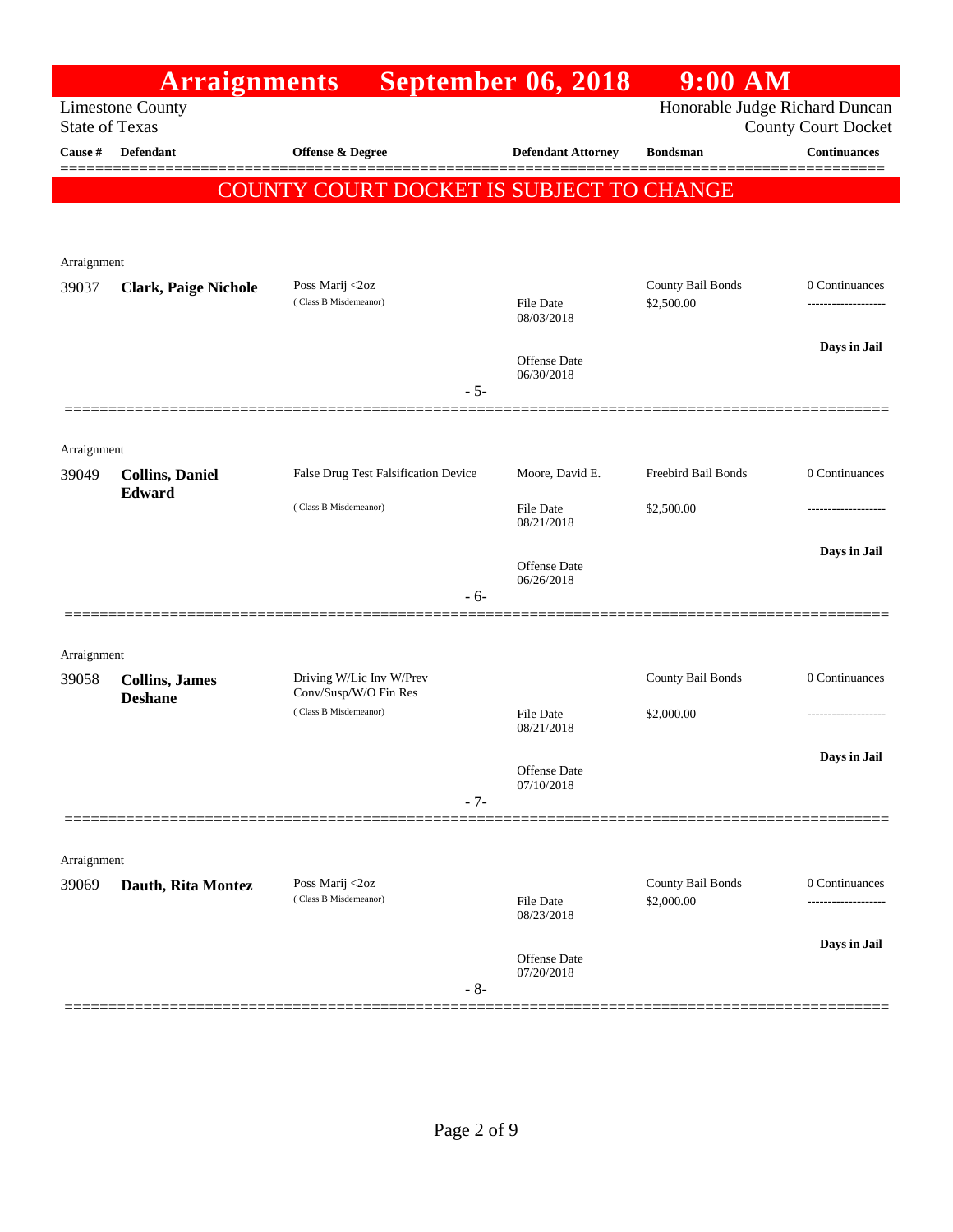|                       | <b>Arraignments</b>         |                                                | <b>September 06, 2018</b>      | $9:00$ AM                       |                                     |
|-----------------------|-----------------------------|------------------------------------------------|--------------------------------|---------------------------------|-------------------------------------|
| <b>State of Texas</b> | <b>Limestone County</b>     |                                                |                                | Honorable Judge Richard Duncan  | <b>County Court Docket</b>          |
| Cause #               | Defendant                   | Offense & Degree                               | <b>Defendant Attorney</b>      | <b>Bondsman</b>                 | <b>Continuances</b>                 |
|                       |                             | COUNTY COURT DOCKET IS SUBJECT TO CHANGE       |                                |                                 |                                     |
|                       |                             |                                                |                                |                                 |                                     |
| Arraignment           |                             |                                                |                                |                                 |                                     |
| 39037                 | <b>Clark, Paige Nichole</b> | Poss Marij <2oz<br>(Class B Misdemeanor)       | <b>File Date</b>               | County Bail Bonds<br>\$2,500.00 | 0 Continuances<br>----------------- |
|                       |                             |                                                | 08/03/2018                     |                                 |                                     |
|                       |                             |                                                | <b>Offense Date</b>            |                                 | Days in Jail                        |
|                       |                             | $-5-$                                          | 06/30/2018                     |                                 |                                     |
|                       |                             |                                                |                                |                                 |                                     |
| Arraignment<br>39049  | <b>Collins, Daniel</b>      | False Drug Test Falsification Device           | Moore, David E.                | Freebird Bail Bonds             | 0 Continuances                      |
|                       | Edward                      | (Class B Misdemeanor)                          | <b>File Date</b>               | \$2,500.00                      |                                     |
|                       |                             |                                                | 08/21/2018                     |                                 |                                     |
|                       |                             |                                                | Offense Date<br>06/26/2018     |                                 | Days in Jail                        |
|                       |                             | - 6-                                           |                                |                                 |                                     |
|                       |                             |                                                |                                |                                 |                                     |
| Arraignment<br>39058  | <b>Collins</b> , James      | Driving W/Lic Inv W/Prev                       |                                | County Bail Bonds               | 0 Continuances                      |
|                       | <b>Deshane</b>              | Conv/Susp/W/O Fin Res<br>(Class B Misdemeanor) | <b>File Date</b>               | \$2,000.00                      | -----------------                   |
|                       |                             |                                                | 08/21/2018                     |                                 |                                     |
|                       |                             |                                                | Offense Date<br>07/10/2018     |                                 | Days in Jail                        |
|                       |                             | $-7-$                                          |                                |                                 |                                     |
|                       |                             |                                                |                                |                                 |                                     |
| Arraignment<br>39069  | Dauth, Rita Montez          | Poss Marij <2oz                                |                                | County Bail Bonds               | 0 Continuances                      |
|                       |                             | (Class B Misdemeanor)                          | <b>File Date</b><br>08/23/2018 | \$2,000.00                      |                                     |
|                       |                             |                                                |                                |                                 | Days in Jail                        |
|                       |                             | $-8-$                                          | Offense Date<br>07/20/2018     |                                 |                                     |
|                       |                             |                                                |                                |                                 |                                     |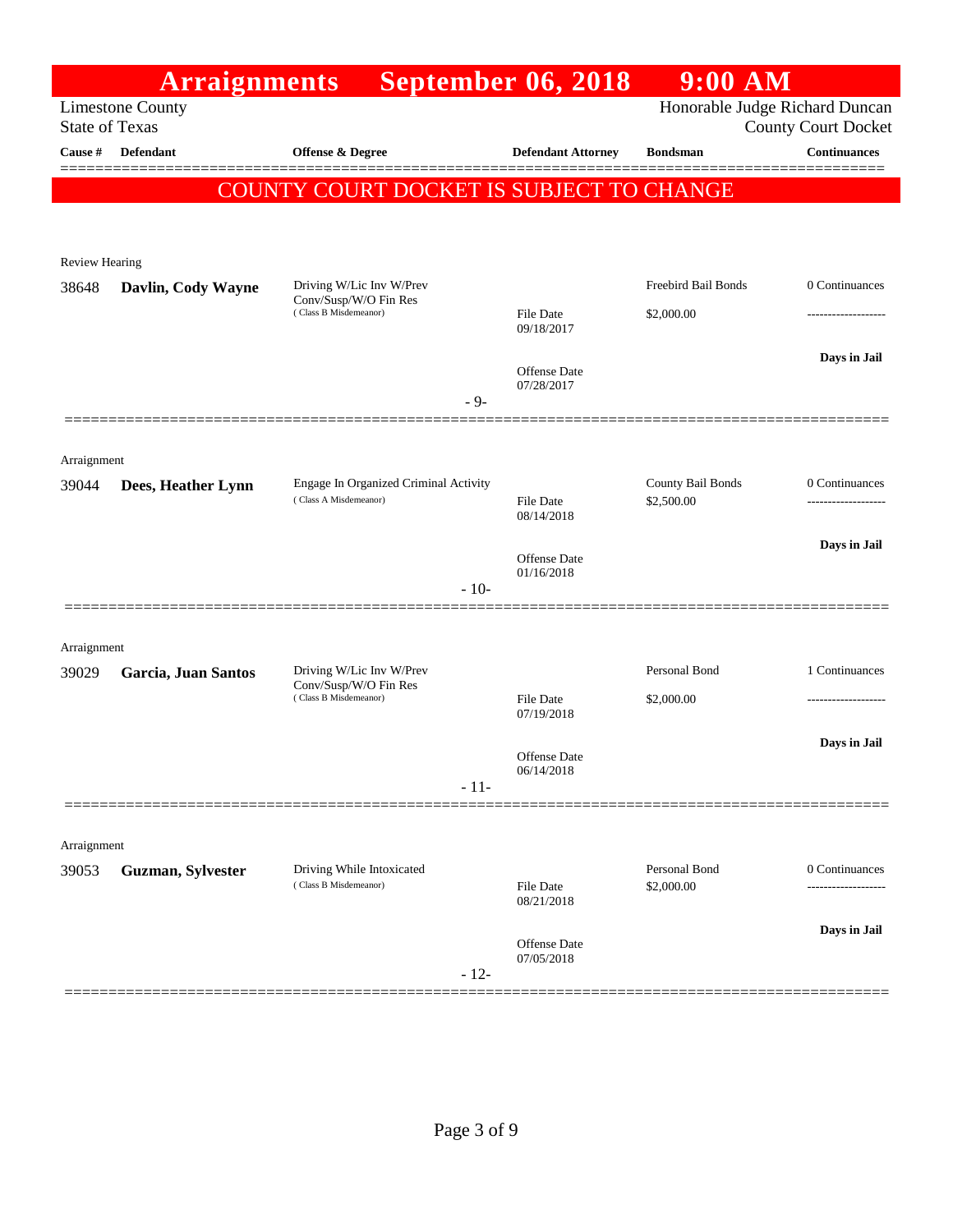|                       | <b>Arraignments</b> |                                                                | <b>September 06, 2018</b>         | $9:00$ AM                       |                            |
|-----------------------|---------------------|----------------------------------------------------------------|-----------------------------------|---------------------------------|----------------------------|
| <b>State of Texas</b> | Limestone County    |                                                                |                                   | Honorable Judge Richard Duncan  | <b>County Court Docket</b> |
| Cause #               | Defendant           | <b>Offense &amp; Degree</b>                                    | <b>Defendant Attorney</b>         | <b>Bondsman</b>                 | <b>Continuances</b>        |
|                       |                     | COUNTY COURT DOCKET IS SUBJECT TO CHANGE                       |                                   |                                 |                            |
|                       |                     |                                                                |                                   |                                 |                            |
| <b>Review Hearing</b> |                     |                                                                |                                   |                                 |                            |
| 38648                 | Davlin, Cody Wayne  | Driving W/Lic Inv W/Prev<br>Conv/Susp/W/O Fin Res              |                                   | Freebird Bail Bonds             | 0 Continuances             |
|                       |                     | (Class B Misdemeanor)                                          | File Date<br>09/18/2017           | \$2,000.00                      | .                          |
|                       |                     |                                                                | <b>Offense</b> Date               |                                 | Days in Jail               |
|                       |                     | $-9-$                                                          | 07/28/2017                        |                                 |                            |
|                       |                     |                                                                |                                   |                                 |                            |
| Arraignment           |                     |                                                                |                                   |                                 |                            |
| 39044                 | Dees, Heather Lynn  | Engage In Organized Criminal Activity<br>(Class A Misdemeanor) | File Date                         | County Bail Bonds<br>\$2,500.00 | 0 Continuances             |
|                       |                     |                                                                | 08/14/2018                        |                                 |                            |
|                       |                     |                                                                | <b>Offense Date</b><br>01/16/2018 |                                 | Days in Jail               |
|                       |                     | $-10-$                                                         |                                   |                                 |                            |
|                       |                     |                                                                |                                   |                                 |                            |
| Arraignment<br>39029  | Garcia, Juan Santos | Driving W/Lic Inv W/Prev                                       |                                   | Personal Bond                   | 1 Continuances             |
|                       |                     | Conv/Susp/W/O Fin Res<br>(Class B Misdemeanor)                 | File Date                         | \$2,000.00                      | .                          |
|                       |                     |                                                                | 07/19/2018                        |                                 | Days in Jail               |
|                       |                     |                                                                | <b>Offense Date</b><br>06/14/2018 |                                 |                            |
|                       |                     | $-11-$                                                         |                                   |                                 |                            |
|                       |                     |                                                                |                                   |                                 |                            |
| Arraignment<br>39053  | Guzman, Sylvester   | Driving While Intoxicated                                      |                                   | Personal Bond                   | 0 Continuances             |
|                       |                     | (Class B Misdemeanor)                                          | <b>File Date</b><br>08/21/2018    | \$2,000.00                      | .                          |
|                       |                     |                                                                | Offense Date<br>07/05/2018        |                                 | Days in Jail               |
|                       |                     | $-12-$                                                         |                                   |                                 |                            |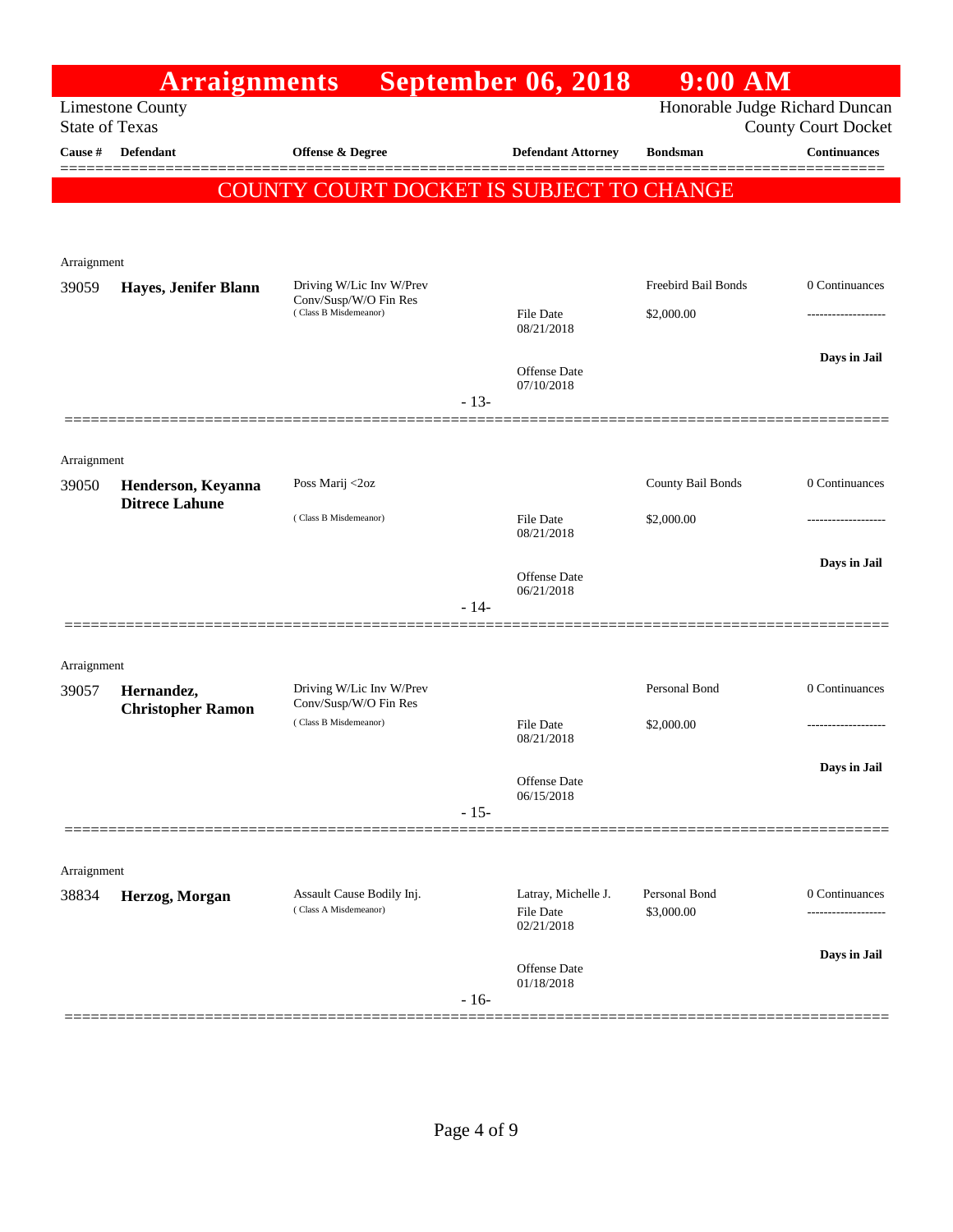|                                  | <b>Arraignments</b>      |                                                   |        | <b>September 06, 2018</b>      | $9:00$ AM                      |                                            |
|----------------------------------|--------------------------|---------------------------------------------------|--------|--------------------------------|--------------------------------|--------------------------------------------|
|                                  | <b>Limestone County</b>  |                                                   |        |                                | Honorable Judge Richard Duncan |                                            |
| <b>State of Texas</b><br>Cause # | Defendant                | <b>Offense &amp; Degree</b>                       |        | <b>Defendant Attorney</b>      | <b>Bondsman</b>                | <b>County Court Docket</b><br>Continuances |
|                                  |                          |                                                   |        |                                |                                |                                            |
|                                  |                          | <b>COUNTY COURT DOCKET IS SUBJECT TO CHANGE</b>   |        |                                |                                |                                            |
|                                  |                          |                                                   |        |                                |                                |                                            |
| Arraignment                      |                          |                                                   |        |                                |                                |                                            |
| 39059                            | Hayes, Jenifer Blann     | Driving W/Lic Inv W/Prev                          |        |                                | Freebird Bail Bonds            | 0 Continuances                             |
|                                  |                          | Conv/Susp/W/O Fin Res<br>(Class B Misdemeanor)    |        | <b>File Date</b>               | \$2,000.00                     |                                            |
|                                  |                          |                                                   |        | 08/21/2018                     |                                |                                            |
|                                  |                          |                                                   |        | Offense Date                   |                                | Days in Jail                               |
|                                  |                          |                                                   | $-13-$ | 07/10/2018                     |                                |                                            |
|                                  |                          |                                                   |        |                                |                                |                                            |
| Arraignment                      |                          |                                                   |        |                                |                                |                                            |
| 39050                            | Henderson, Keyanna       | Poss Marij <2oz                                   |        |                                | County Bail Bonds              | 0 Continuances                             |
|                                  | <b>Ditrece Lahune</b>    | (Class B Misdemeanor)                             |        | <b>File Date</b>               | \$2,000.00                     |                                            |
|                                  |                          |                                                   |        | 08/21/2018                     |                                |                                            |
|                                  |                          |                                                   |        | Offense Date                   |                                | Days in Jail                               |
|                                  |                          |                                                   | $-14-$ | 06/21/2018                     |                                |                                            |
|                                  |                          |                                                   |        |                                |                                |                                            |
| Arraignment                      |                          |                                                   |        |                                |                                |                                            |
| 39057                            | Hernandez,               | Driving W/Lic Inv W/Prev<br>Conv/Susp/W/O Fin Res |        |                                | Personal Bond                  | 0 Continuances                             |
|                                  | <b>Christopher Ramon</b> | (Class B Misdemeanor)                             |        | File Date                      | \$2,000.00                     |                                            |
|                                  |                          |                                                   |        | 08/21/2018                     |                                |                                            |
|                                  |                          |                                                   |        | Offense Date                   |                                | Days in Jail                               |
|                                  |                          |                                                   | $-15-$ | 06/15/2018                     |                                |                                            |
|                                  |                          |                                                   |        |                                |                                |                                            |
| Arraignment                      |                          |                                                   |        |                                |                                |                                            |
| 38834                            | Herzog, Morgan           | Assault Cause Bodily Inj.                         |        | Latray, Michelle J.            | Personal Bond                  | 0 Continuances                             |
|                                  |                          | (Class A Misdemeanor)                             |        | <b>File Date</b><br>02/21/2018 | \$3,000.00                     |                                            |
|                                  |                          |                                                   |        |                                |                                | Days in Jail                               |
|                                  |                          |                                                   |        | Offense Date<br>01/18/2018     |                                |                                            |
|                                  |                          |                                                   | $-16-$ |                                |                                |                                            |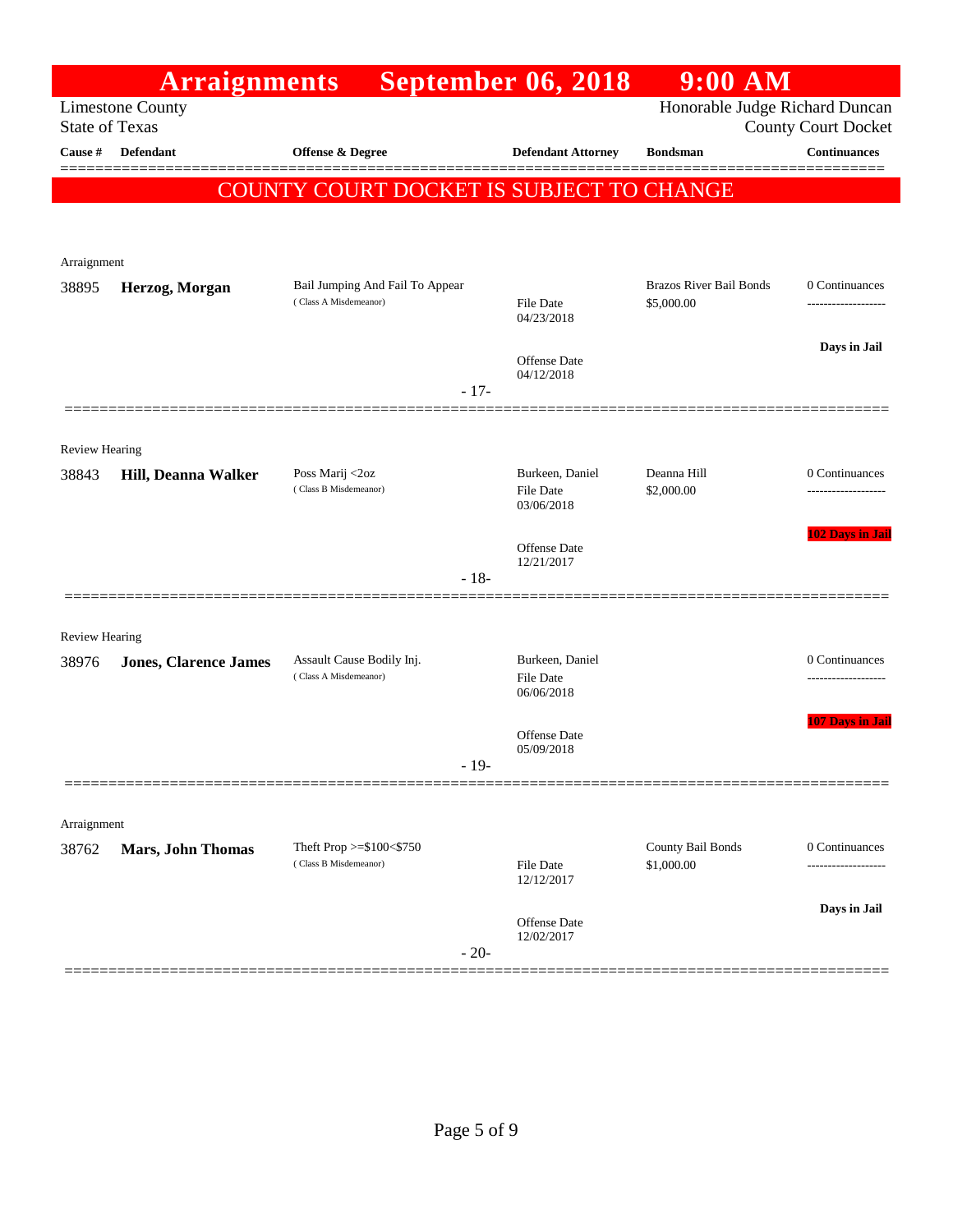|                       | <b>Arraignments</b>          |                                                          | <b>September 06, 2018</b>           | $9:00$ AM                       |                            |
|-----------------------|------------------------------|----------------------------------------------------------|-------------------------------------|---------------------------------|----------------------------|
| <b>State of Texas</b> | <b>Limestone County</b>      |                                                          |                                     | Honorable Judge Richard Duncan  | <b>County Court Docket</b> |
| Cause #               | Defendant                    | Offense & Degree                                         | <b>Defendant Attorney</b>           | <b>Bondsman</b>                 | <b>Continuances</b>        |
|                       |                              | COUNTY COURT DOCKET IS SUBJECT TO CHANGE                 |                                     |                                 |                            |
|                       |                              |                                                          |                                     |                                 |                            |
| Arraignment           |                              |                                                          |                                     |                                 |                            |
| 38895                 | Herzog, Morgan               | Bail Jumping And Fail To Appear                          |                                     | <b>Brazos River Bail Bonds</b>  | 0 Continuances             |
|                       |                              | (Class A Misdemeanor)                                    | <b>File Date</b><br>04/23/2018      | \$5,000.00                      |                            |
|                       |                              |                                                          | <b>Offense Date</b>                 |                                 | Days in Jail               |
|                       |                              | $-17-$                                                   | 04/12/2018                          |                                 |                            |
|                       |                              |                                                          |                                     |                                 |                            |
| <b>Review Hearing</b> |                              |                                                          |                                     |                                 |                            |
| 38843                 | Hill, Deanna Walker          | Poss Marij <2oz<br>(Class B Misdemeanor)                 | Burkeen, Daniel<br><b>File Date</b> | Deanna Hill<br>\$2,000.00       | 0 Continuances<br>.        |
|                       |                              |                                                          | 03/06/2018                          |                                 |                            |
|                       |                              |                                                          | Offense Date                        |                                 | 102 Days in Jail           |
|                       |                              | $-18-$                                                   | 12/21/2017                          |                                 |                            |
|                       |                              |                                                          |                                     |                                 |                            |
| <b>Review Hearing</b> |                              |                                                          |                                     |                                 |                            |
| 38976                 | <b>Jones, Clarence James</b> | Assault Cause Bodily Inj.<br>(Class A Misdemeanor)       | Burkeen, Daniel<br><b>File Date</b> |                                 | 0 Continuances<br>.        |
|                       |                              |                                                          | 06/06/2018                          |                                 |                            |
|                       |                              |                                                          | Offense Date<br>05/09/2018          |                                 | <b>107 Days in Jail</b>    |
|                       |                              | $-19-$                                                   |                                     |                                 |                            |
|                       |                              |                                                          |                                     |                                 |                            |
| Arraignment           |                              |                                                          |                                     |                                 |                            |
| 38762                 | <b>Mars, John Thomas</b>     | Theft Prop $>=$ \$100 $<$ \$750<br>(Class B Misdemeanor) | File Date<br>12/12/2017             | County Bail Bonds<br>\$1,000.00 | 0 Continuances             |
|                       |                              |                                                          |                                     |                                 | Days in Jail               |
|                       |                              |                                                          | Offense Date<br>12/02/2017          |                                 |                            |
|                       |                              | $-20-$                                                   |                                     |                                 |                            |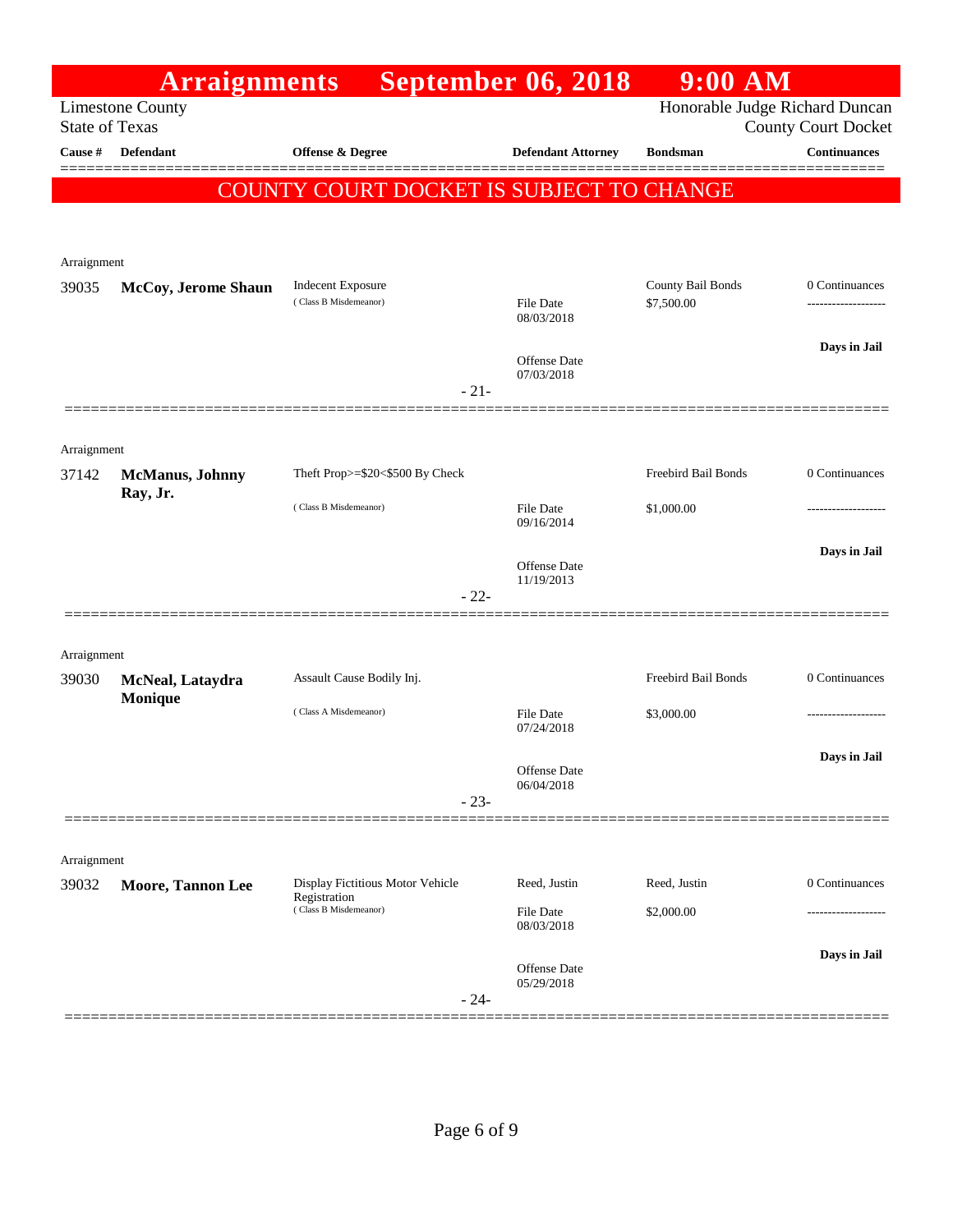|                       | <b>Arraignments</b>      |                                                   | <b>September 06, 2018</b>         | $9:00$ AM                       |                                                              |
|-----------------------|--------------------------|---------------------------------------------------|-----------------------------------|---------------------------------|--------------------------------------------------------------|
| <b>State of Texas</b> | <b>Limestone County</b>  |                                                   |                                   |                                 | Honorable Judge Richard Duncan<br><b>County Court Docket</b> |
| Cause #               | <b>Defendant</b>         | <b>Offense &amp; Degree</b>                       | <b>Defendant Attorney</b>         | <b>Bondsman</b>                 | <b>Continuances</b>                                          |
|                       |                          | COUNTY COURT DOCKET IS SUBJECT TO CHANGE          |                                   |                                 |                                                              |
|                       |                          |                                                   |                                   |                                 |                                                              |
|                       |                          |                                                   |                                   |                                 |                                                              |
| Arraignment           |                          |                                                   |                                   |                                 |                                                              |
| 39035                 | McCoy, Jerome Shaun      | <b>Indecent Exposure</b><br>(Class B Misdemeanor) | <b>File Date</b>                  | County Bail Bonds<br>\$7,500.00 | 0 Continuances                                               |
|                       |                          |                                                   | 08/03/2018                        |                                 |                                                              |
|                       |                          |                                                   | Offense Date                      |                                 | Days in Jail                                                 |
|                       |                          | $-21-$                                            | 07/03/2018                        |                                 |                                                              |
|                       |                          |                                                   |                                   |                                 |                                                              |
| Arraignment           |                          |                                                   |                                   |                                 |                                                              |
| 37142                 | <b>McManus</b> , Johnny  | Theft Prop>=\$20<\$500 By Check                   |                                   | Freebird Bail Bonds             | 0 Continuances                                               |
|                       | Ray, Jr.                 | (Class B Misdemeanor)                             | <b>File Date</b><br>09/16/2014    | \$1,000.00                      |                                                              |
|                       |                          |                                                   |                                   |                                 | Days in Jail                                                 |
|                       |                          |                                                   | Offense Date<br>11/19/2013        |                                 |                                                              |
|                       |                          | $-22-$                                            |                                   |                                 |                                                              |
|                       |                          |                                                   |                                   |                                 |                                                              |
| Arraignment<br>39030  | McNeal, Lataydra         | Assault Cause Bodily Inj.                         |                                   | Freebird Bail Bonds             | 0 Continuances                                               |
|                       | <b>Monique</b>           | (Class A Misdemeanor)                             | <b>File Date</b>                  | \$3,000.00                      |                                                              |
|                       |                          |                                                   | 07/24/2018                        |                                 |                                                              |
|                       |                          |                                                   | Offense Date                      |                                 | Davs in Jail                                                 |
|                       |                          | $-23-$                                            | 06/04/2018                        |                                 |                                                              |
|                       |                          |                                                   |                                   |                                 |                                                              |
| Arraignment           |                          |                                                   |                                   |                                 |                                                              |
| 39032                 | <b>Moore, Tannon Lee</b> | Display Fictitious Motor Vehicle<br>Registration  | Reed, Justin                      | Reed, Justin                    | 0 Continuances                                               |
|                       |                          | (Class B Misdemeanor)                             | <b>File Date</b><br>08/03/2018    | \$2,000.00                      |                                                              |
|                       |                          |                                                   |                                   |                                 | Days in Jail                                                 |
|                       |                          | $-24-$                                            | <b>Offense Date</b><br>05/29/2018 |                                 |                                                              |
|                       |                          |                                                   |                                   |                                 |                                                              |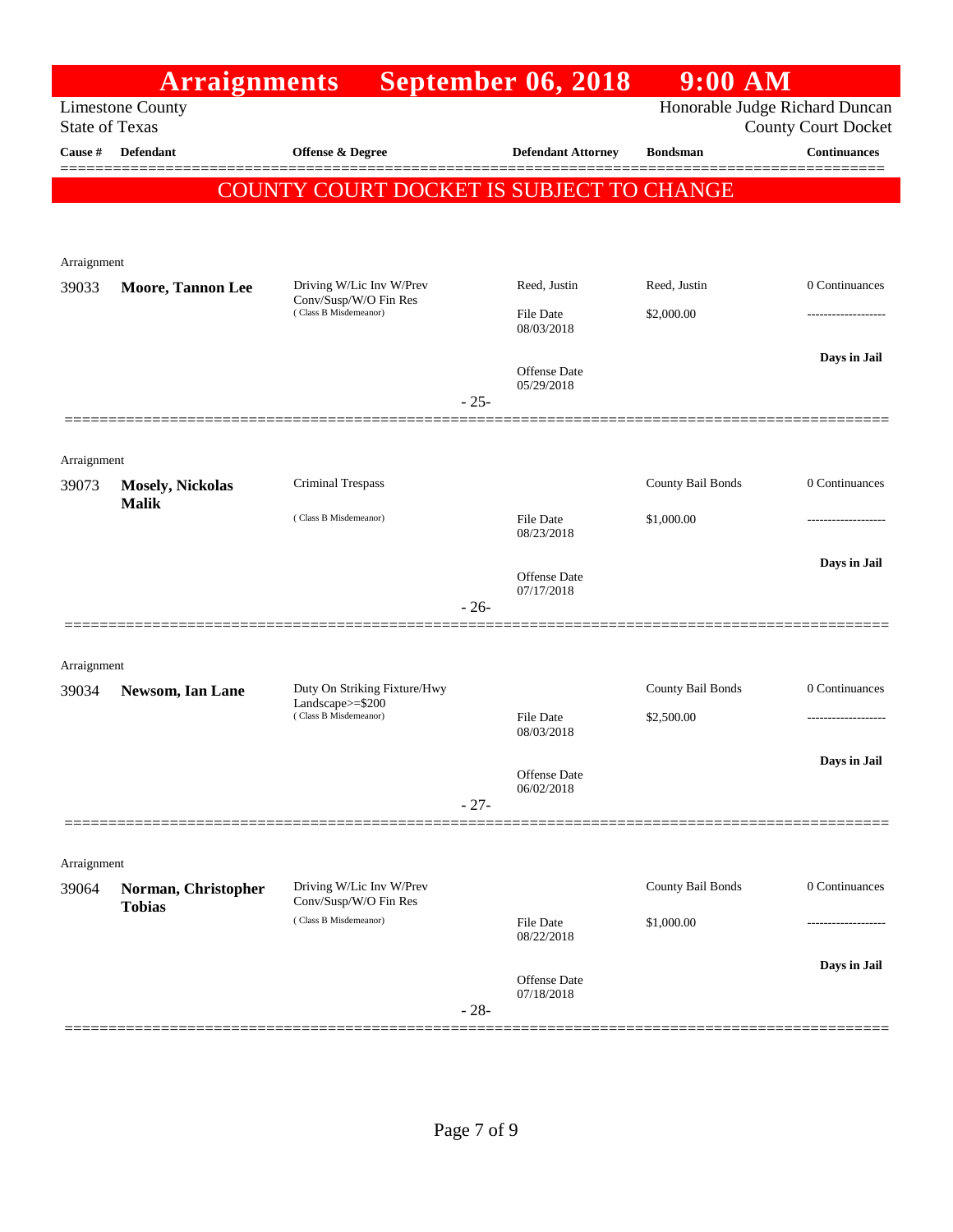|                       | <b>Arraignments</b>                  |                                                   |        | <b>September 06, 2018</b>  | $9:00$ AM         |                                                              |
|-----------------------|--------------------------------------|---------------------------------------------------|--------|----------------------------|-------------------|--------------------------------------------------------------|
| <b>State of Texas</b> | <b>Limestone County</b>              |                                                   |        |                            |                   | Honorable Judge Richard Duncan<br><b>County Court Docket</b> |
| Cause #               | <b>Defendant</b>                     | <b>Offense &amp; Degree</b>                       |        | <b>Defendant Attorney</b>  | <b>Bondsman</b>   | <b>Continuances</b>                                          |
|                       |                                      | COUNTY COURT DOCKET IS SUBJECT TO CHANGE          |        |                            |                   |                                                              |
|                       |                                      |                                                   |        |                            |                   |                                                              |
|                       |                                      |                                                   |        |                            |                   |                                                              |
| Arraignment<br>39033  | Moore, Tannon Lee                    | Driving W/Lic Inv W/Prev                          |        | Reed, Justin               | Reed, Justin      | 0 Continuances                                               |
|                       |                                      | Conv/Susp/W/O Fin Res<br>(Class B Misdemeanor)    |        | File Date                  | \$2,000.00        |                                                              |
|                       |                                      |                                                   |        | 08/03/2018                 |                   |                                                              |
|                       |                                      |                                                   |        | <b>Offense Date</b>        |                   | Days in Jail                                                 |
|                       |                                      |                                                   | $-25-$ | 05/29/2018                 |                   |                                                              |
|                       |                                      |                                                   |        |                            |                   |                                                              |
| Arraignment           |                                      |                                                   |        |                            |                   |                                                              |
| 39073                 | <b>Mosely, Nickolas</b>              | Criminal Trespass                                 |        |                            | County Bail Bonds | 0 Continuances                                               |
|                       | <b>Malik</b>                         | (Class B Misdemeanor)                             |        | <b>File Date</b>           | \$1,000.00        |                                                              |
|                       |                                      |                                                   |        | 08/23/2018                 |                   |                                                              |
|                       |                                      |                                                   |        | <b>Offense Date</b>        |                   | Days in Jail                                                 |
|                       |                                      |                                                   | $-26-$ | 07/17/2018                 |                   |                                                              |
|                       |                                      |                                                   |        |                            |                   |                                                              |
| Arraignment           |                                      |                                                   |        |                            |                   |                                                              |
| 39034                 | Newsom, Ian Lane                     | Duty On Striking Fixture/Hwy<br>Landscape>=\$200  |        |                            | County Bail Bonds | 0 Continuances                                               |
|                       |                                      | (Class B Misdemeanor)                             |        | File Date<br>08/03/2018    | \$2,500.00        | .                                                            |
|                       |                                      |                                                   |        |                            |                   | Days in Jail                                                 |
|                       |                                      |                                                   |        | Offense Date<br>06/02/2018 |                   |                                                              |
|                       |                                      |                                                   | $-27-$ |                            |                   |                                                              |
|                       |                                      |                                                   |        |                            |                   |                                                              |
| Arraignment           |                                      |                                                   |        |                            |                   |                                                              |
| 39064                 | Norman, Christopher<br><b>Tobias</b> | Driving W/Lic Inv W/Prev<br>Conv/Susp/W/O Fin Res |        |                            | County Bail Bonds | 0 Continuances                                               |
|                       |                                      | (Class B Misdemeanor)                             |        | File Date<br>08/22/2018    | \$1,000.00        |                                                              |
|                       |                                      |                                                   |        |                            |                   | Days in Jail                                                 |
|                       |                                      |                                                   |        | Offense Date<br>07/18/2018 |                   |                                                              |
|                       |                                      |                                                   | $-28-$ |                            |                   |                                                              |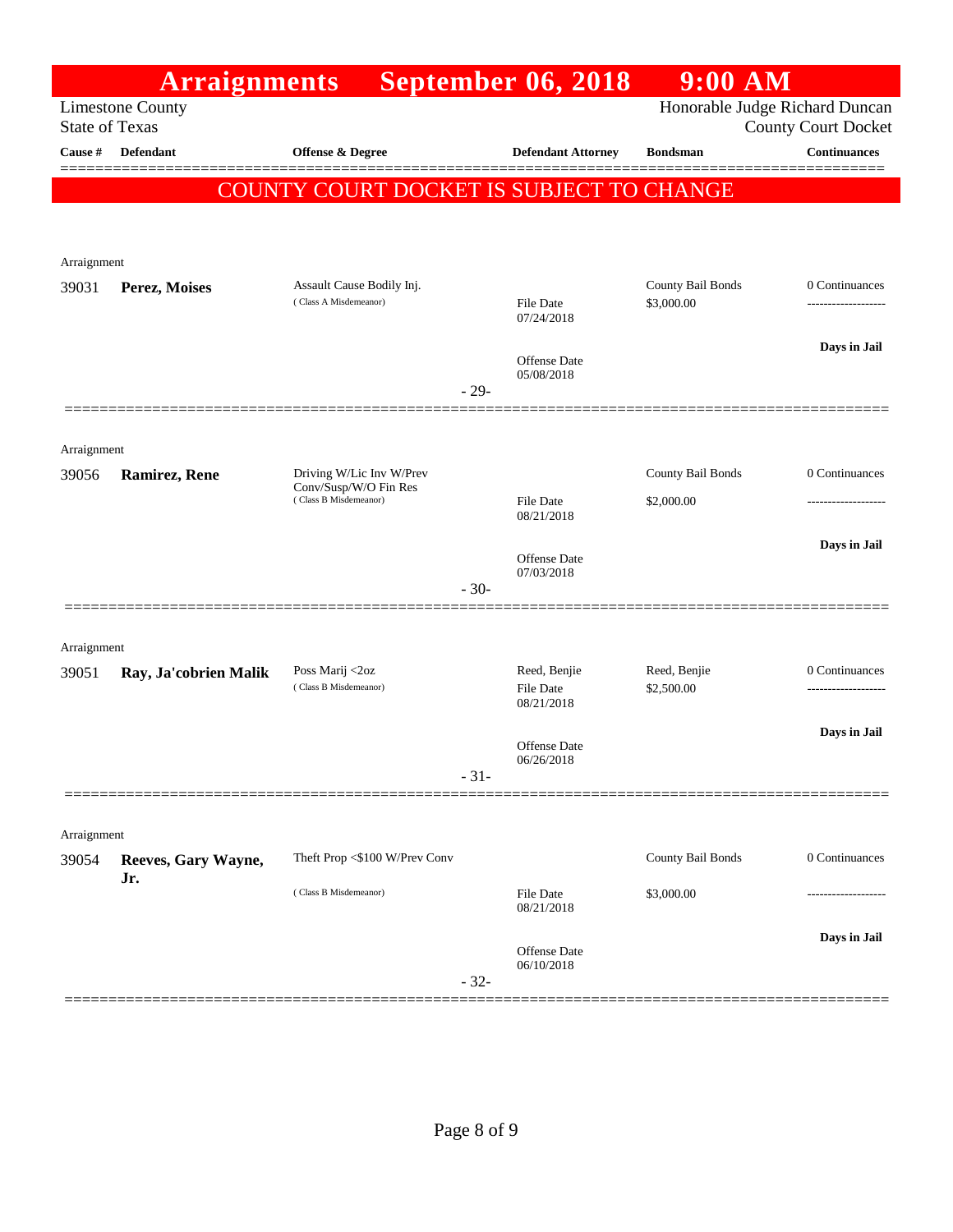|                       | <b>Arraignments</b>        |                                                    |        | <b>September 06, 2018</b>         | $9:00$ AM                       |                                            |
|-----------------------|----------------------------|----------------------------------------------------|--------|-----------------------------------|---------------------------------|--------------------------------------------|
| <b>State of Texas</b> | <b>Limestone County</b>    |                                                    |        |                                   |                                 | Honorable Judge Richard Duncan             |
| Cause #               | <b>Defendant</b>           | <b>Offense &amp; Degree</b>                        |        | <b>Defendant Attorney</b>         | <b>Bondsman</b>                 | <b>County Court Docket</b><br>Continuances |
|                       |                            |                                                    |        |                                   |                                 |                                            |
|                       |                            | COUNTY COURT DOCKET IS SUBJECT TO CHANGE           |        |                                   |                                 |                                            |
|                       |                            |                                                    |        |                                   |                                 |                                            |
| Arraignment           |                            |                                                    |        |                                   |                                 |                                            |
| 39031                 | Perez, Moises              | Assault Cause Bodily Inj.<br>(Class A Misdemeanor) |        | <b>File Date</b>                  | County Bail Bonds<br>\$3,000.00 | 0 Continuances<br>------------------       |
|                       |                            |                                                    |        | 07/24/2018                        |                                 |                                            |
|                       |                            |                                                    |        | Offense Date                      |                                 | Days in Jail                               |
|                       |                            |                                                    | $-29-$ | 05/08/2018                        |                                 |                                            |
|                       |                            |                                                    |        |                                   |                                 |                                            |
| Arraignment           |                            |                                                    |        |                                   |                                 |                                            |
| 39056                 | <b>Ramirez, Rene</b>       | Driving W/Lic Inv W/Prev<br>Conv/Susp/W/O Fin Res  |        |                                   | County Bail Bonds               | 0 Continuances                             |
|                       |                            | (Class B Misdemeanor)                              |        | File Date<br>08/21/2018           | \$2,000.00                      |                                            |
|                       |                            |                                                    |        |                                   |                                 | Days in Jail                               |
|                       |                            |                                                    |        | Offense Date<br>07/03/2018        |                                 |                                            |
|                       |                            |                                                    | $-30-$ |                                   |                                 |                                            |
|                       |                            |                                                    |        |                                   |                                 |                                            |
| Arraignment<br>39051  | Ray, Ja'cobrien Malik      | Poss Marij <2oz                                    |        | Reed, Benjie                      | Reed, Benjie                    | 0 Continuances                             |
|                       |                            | (Class B Misdemeanor)                              |        | <b>File Date</b><br>08/21/2018    | \$2,500.00                      | -------------------                        |
|                       |                            |                                                    |        |                                   |                                 | Days in Jail                               |
|                       |                            |                                                    |        | Offense Date<br>06/26/2018        |                                 |                                            |
|                       |                            |                                                    | $-31-$ |                                   |                                 |                                            |
|                       |                            |                                                    |        |                                   |                                 |                                            |
| Arraignment           |                            | Theft Prop <\$100 W/Prev Conv                      |        |                                   | County Bail Bonds               | 0 Continuances                             |
| 39054                 | Reeves, Gary Wayne,<br>Jr. |                                                    |        |                                   |                                 |                                            |
|                       |                            | (Class B Misdemeanor)                              |        | <b>File Date</b><br>08/21/2018    | \$3,000.00                      | .                                          |
|                       |                            |                                                    |        |                                   |                                 | Days in Jail                               |
|                       |                            |                                                    |        | <b>Offense Date</b><br>06/10/2018 |                                 |                                            |
|                       |                            |                                                    | $-32-$ |                                   |                                 |                                            |